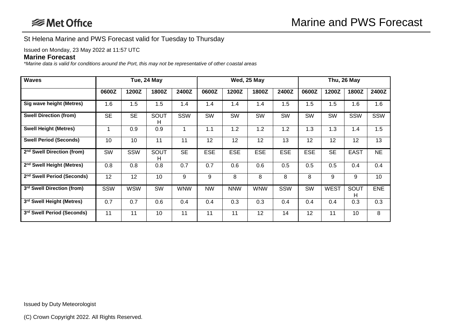St Helena Marine and PWS Forecast valid for Tuesday to Thursday

Issued on Monday, 23 May 2022 at 11:57 UTC

## **Marine Forecast**

*\*Marine data is valid for conditions around the Port, this may not be representative of other coastal areas*

| <b>Waves</b>                           | Tue, 24 May |            |            |               | Wed, 25 May |            |            |            | Thu, 26 May |             |             |            |
|----------------------------------------|-------------|------------|------------|---------------|-------------|------------|------------|------------|-------------|-------------|-------------|------------|
|                                        | 0600Z       | 1200Z      | 1800Z      | 2400Z         | 0600Z       | 1200Z      | 1800Z      | 2400Z      | 0600Z       | 1200Z       | 1800Z       | 2400Z      |
| Sig wave height (Metres)               | 1.6         | 1.5        | 1.5        | $1.4^{\circ}$ | 1.4         | 1.4        | 1.4        | 1.5        | 1.5         | 1.5         | 1.6         | 1.6        |
| <b>Swell Direction (from)</b>          | <b>SE</b>   | <b>SE</b>  | SOUT<br>н  | SSW           | SW          | SW         | SW         | SW         | <b>SW</b>   | SW          | SSW         | <b>SSW</b> |
| <b>Swell Height (Metres)</b>           | $\mathbf 1$ | 0.9        | 0.9        |               | 1.1         | 1.2        | 1.2        | 1.2        | 1.3         | 1.3         | 1.4         | 1.5        |
| <b>Swell Period (Seconds)</b>          | 10          | 10         | 11         | 11            | 12          | 12         | 12         | 13         | 12          | 12          | 12          | 13         |
| 2 <sup>nd</sup> Swell Direction (from) | SW          | SSW        | SOUT<br>H. | <b>SE</b>     | <b>ESE</b>  | <b>ESE</b> | <b>ESE</b> | <b>ESE</b> | <b>ESE</b>  | <b>SE</b>   | <b>EAST</b> | <b>NE</b>  |
| 2 <sup>nd</sup> Swell Height (Metres)  | 0.8         | 0.8        | 0.8        | 0.7           | 0.7         | 0.6        | 0.6        | 0.5        | 0.5         | 0.5         | 0.4         | 0.4        |
| 2 <sup>nd</sup> Swell Period (Seconds) | 12          | 12         | 10         | 9             | 9           | 8          | 8          | 8          | 8           | 9           | 9           | 10         |
| 3rd Swell Direction (from)             | SSW         | <b>WSW</b> | SW         | <b>WNW</b>    | <b>NW</b>   | <b>NNW</b> | <b>WNW</b> | SSW        | <b>SW</b>   | <b>WEST</b> | SOUT<br>н   | <b>ENE</b> |
| 3rd Swell Height (Metres)              | 0.7         | 0.7        | 0.6        | 0.4           | 0.4         | 0.3        | 0.3        | 0.4        | 0.4         | 0.4         | 0.3         | 0.3        |
| 3rd Swell Period (Seconds)             | 11          | 11         | 10         | 11            | 11          | 11         | 12         | 14         | 12          | 11          | 10          | 8          |

Issued by Duty Meteorologist